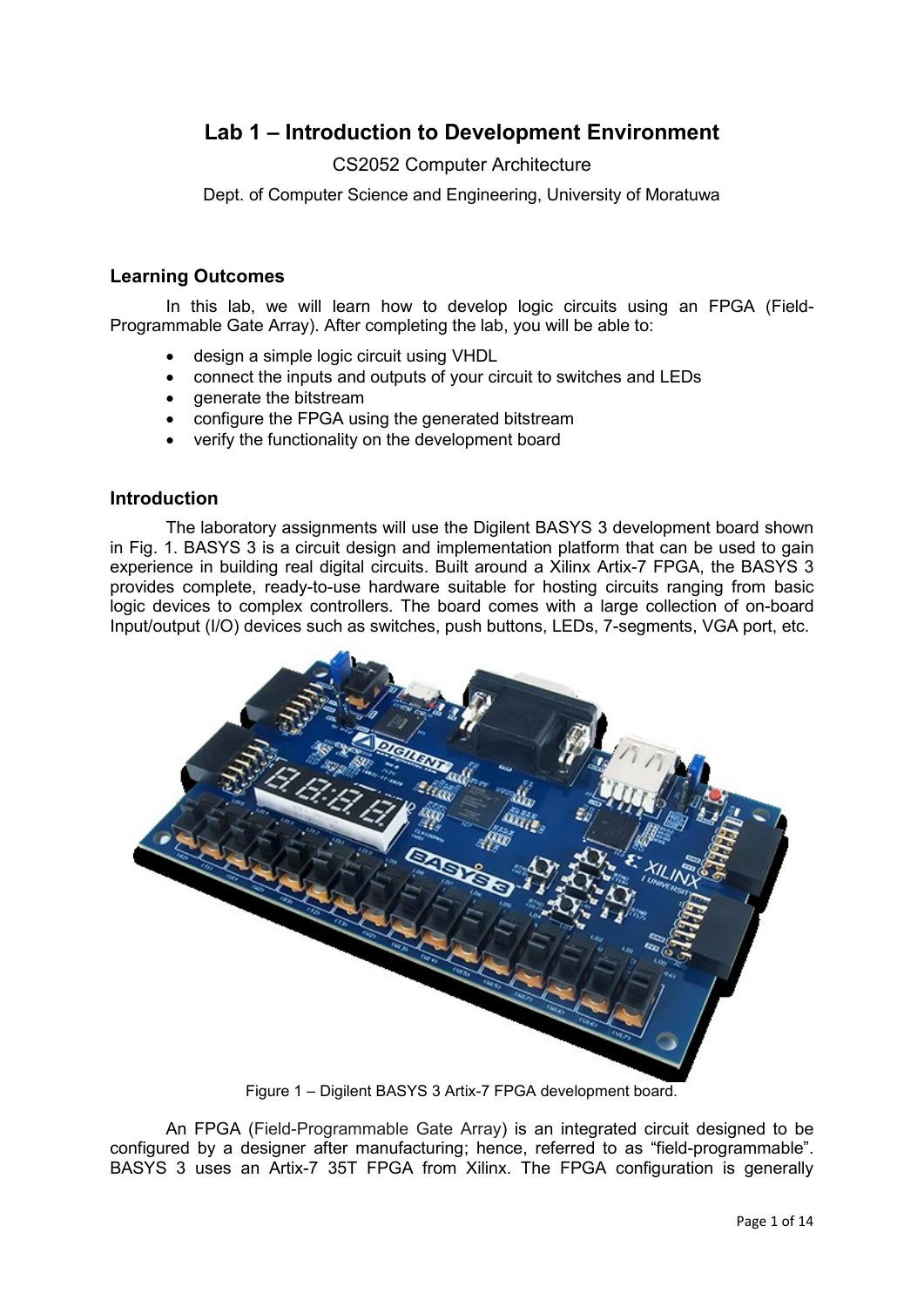# **Lab 1 – Introduction to Development Environment**

## CS2052 Computer Architecture

Dept. of Computer Science and Engineering, University of Moratuwa

### **Learning Outcomes**

In this lab, we will learn how to develop logic circuits using an FPGA (Field-Programmable Gate Array). After completing the lab, you will be able to:

- design a simple logic circuit using VHDL
- connect the inputs and outputs of your circuit to switches and LEDs
- generate the bitstream
- configure the FPGA using the generated bitstream
- verify the functionality on the development board

### **Introduction**

The laboratory assignments will use the Digilent BASYS 3 development board shown in Fig. 1. BASYS 3 is a circuit design and implementation platform that can be used to gain experience in building real digital circuits. Built around a Xilinx Artix-7 FPGA, the BASYS 3 provides complete, ready-to-use hardware suitable for hosting circuits ranging from basic logic devices to complex controllers. The board comes with a large collection of on-board Input/output (I/O) devices such as switches, push buttons, LEDs, 7-segments, VGA port, etc.



Figure 1 – Digilent BASYS 3 Artix-7 FPGA development board.

An FPGA (Field-Programmable Gate Array) is an integrated circuit designed to be configured by a designer after manufacturing; hence, referred to as "field-programmable". BASYS 3 uses an Artix-7 35T FPGA from Xilinx. The FPGA configuration is generally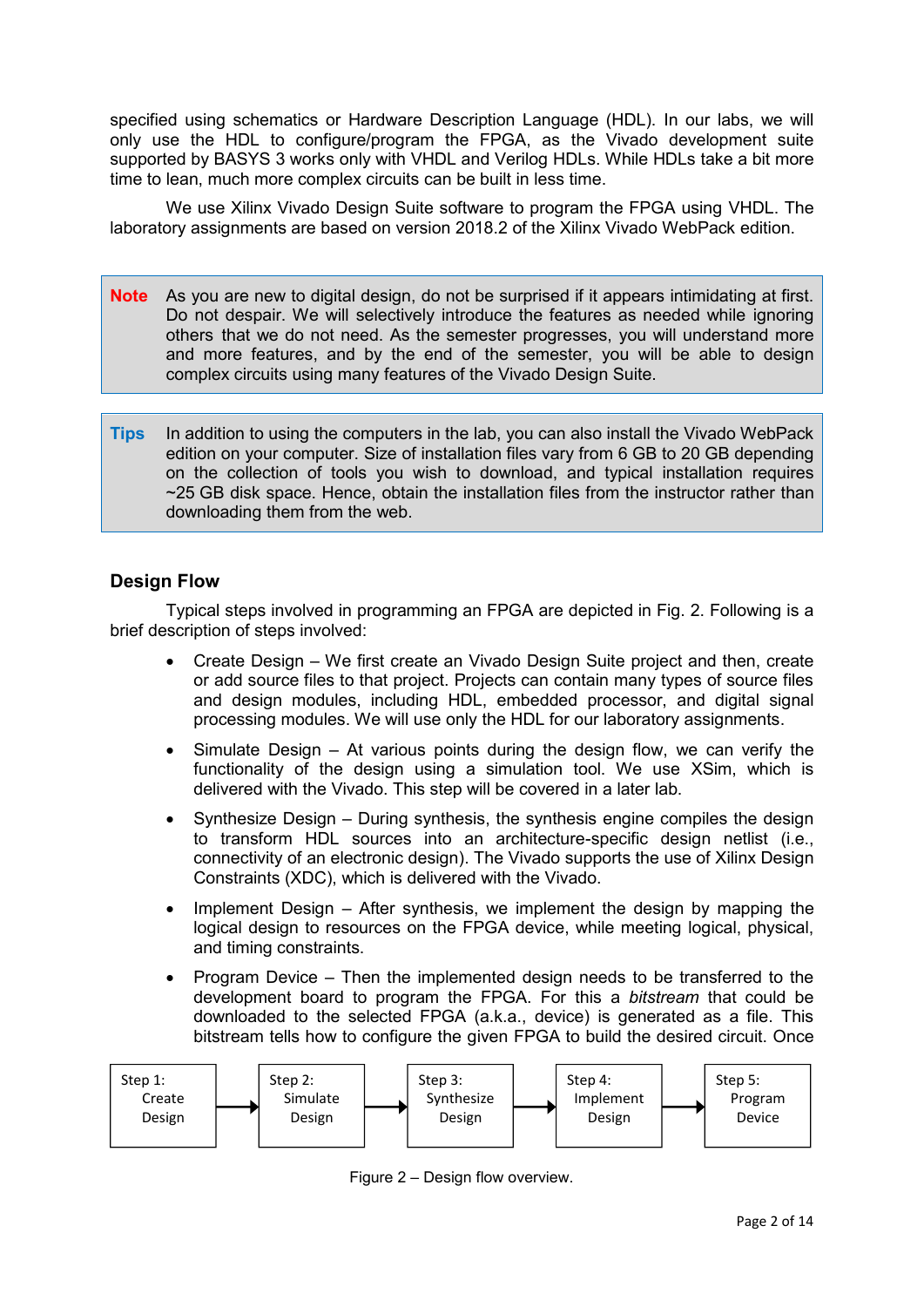specified using schematics or Hardware Description Language (HDL). In our labs, we will only use the HDL to configure/program the FPGA, as the Vivado development suite supported by BASYS 3 works only with VHDL and Verilog HDLs. While HDLs take a bit more time to lean, much more complex circuits can be built in less time.

We use Xilinx Vivado Design Suite software to program the FPGA using VHDL. The laboratory assignments are based on version 2018.2 of the Xilinx Vivado WebPack edition.

- **Note** As you are new to digital design, do not be surprised if it appears intimidating at first. Do not despair. We will selectively introduce the features as needed while ignoring others that we do not need. As the semester progresses, you will understand more and more features, and by the end of the semester, you will be able to design complex circuits using many features of the Vivado Design Suite.
- **Tips** In addition to using the computers in the lab, you can also install the Vivado WebPack edition on your computer. Size of installation files vary from 6 GB to 20 GB depending on the collection of tools you wish to download, and typical installation requires ~25 GB disk space. Hence, obtain the installation files from the instructor rather than downloading them from the web.

# **Design Flow**

Typical steps involved in programming an FPGA are depicted in Fig. 2. Following is a brief description of steps involved:

- Create Design We first create an Vivado Design Suite project and then, create or add source files to that project. Projects can contain many types of source files and design modules, including HDL, embedded processor, and digital signal processing modules. We will use only the HDL for our laboratory assignments.
- Simulate Design At various points during the design flow, we can verify the functionality of the design using a simulation tool. We use XSim, which is delivered with the Vivado. This step will be covered in a later lab.
- Synthesize Design During synthesis, the synthesis engine compiles the design to transform HDL sources into an architecture-specific design netlist (i.e., connectivity of an electronic design). The Vivado supports the use of Xilinx Design Constraints (XDC), which is delivered with the Vivado.
- Implement Design After synthesis, we implement the design by mapping the logical design to resources on the FPGA device, while meeting logical, physical, and timing constraints.
- Program Device Then the implemented design needs to be transferred to the development board to program the FPGA. For this a *bitstream* that could be downloaded to the selected FPGA (a.k.a., device) is generated as a file. This bitstream tells how to configure the given FPGA to build the desired circuit. Once



Figure 2 – Design flow overview.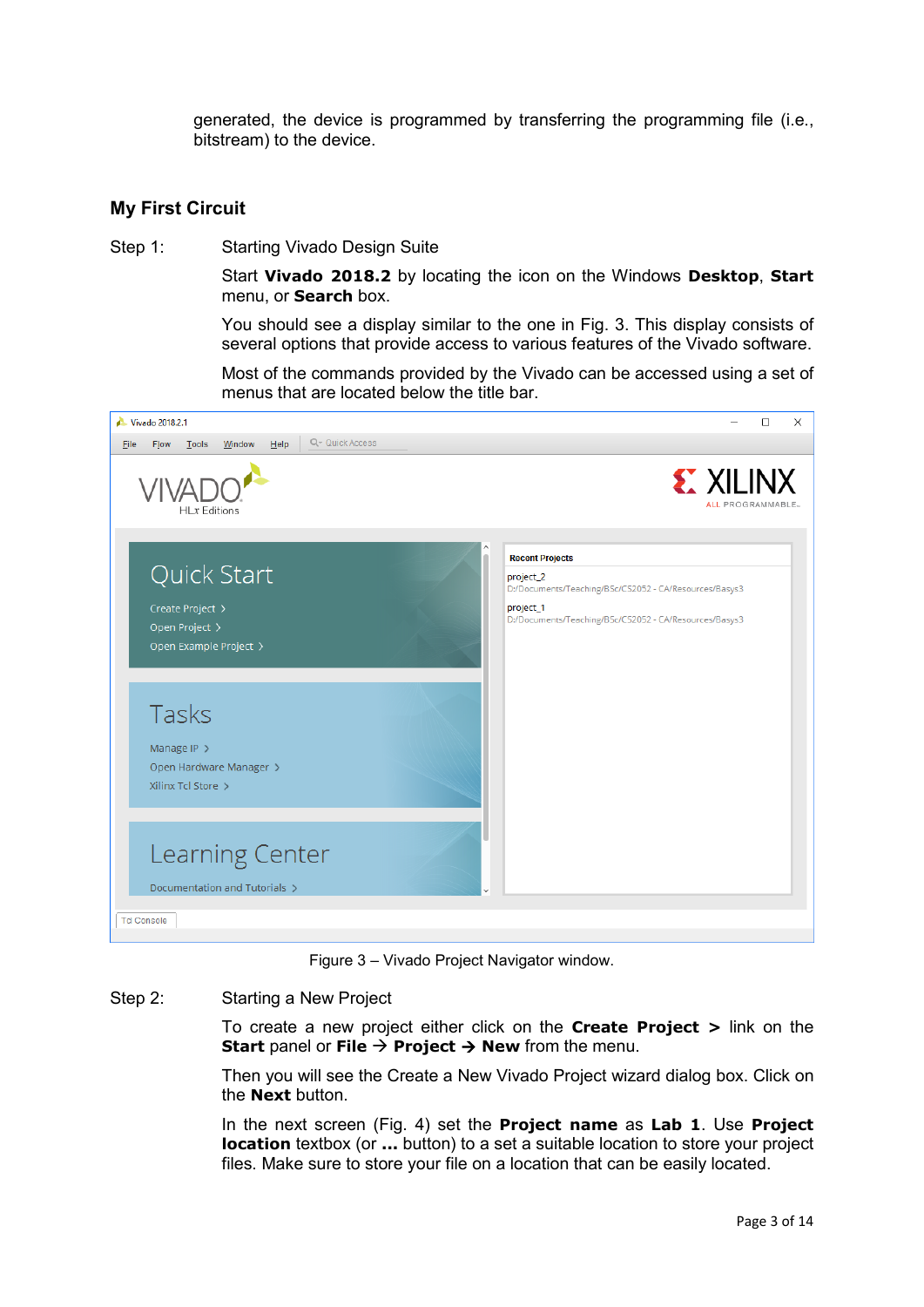generated, the device is programmed by transferring the programming file (i.e., bitstream) to the device.

### **My First Circuit**

Step 1: Starting Vivado Design Suite

Start **Vivado 2018.2** by locating the icon on the Windows **Desktop**, **Start** menu, or **Search** box.

You should see a display similar to the one in Fig. 3. This display consists of several options that provide access to various features of the Vivado software.

Most of the commands provided by the Vivado can be accessed using a set of menus that are located below the title bar.



Figure 3 – Vivado Project Navigator window.

#### Step 2: Starting a New Project

To create a new project either click on the **Create Project >** link on the **Start** panel or **File**  $\rightarrow$  **Project**  $\rightarrow$  **New** from the menu.

Then you will see the Create a New Vivado Project wizard dialog box. Click on the **Next** button.

In the next screen (Fig. 4) set the **Project name** as **Lab 1**. Use **Project location** textbox (or **...** button) to a set a suitable location to store your project files. Make sure to store your file on a location that can be easily located.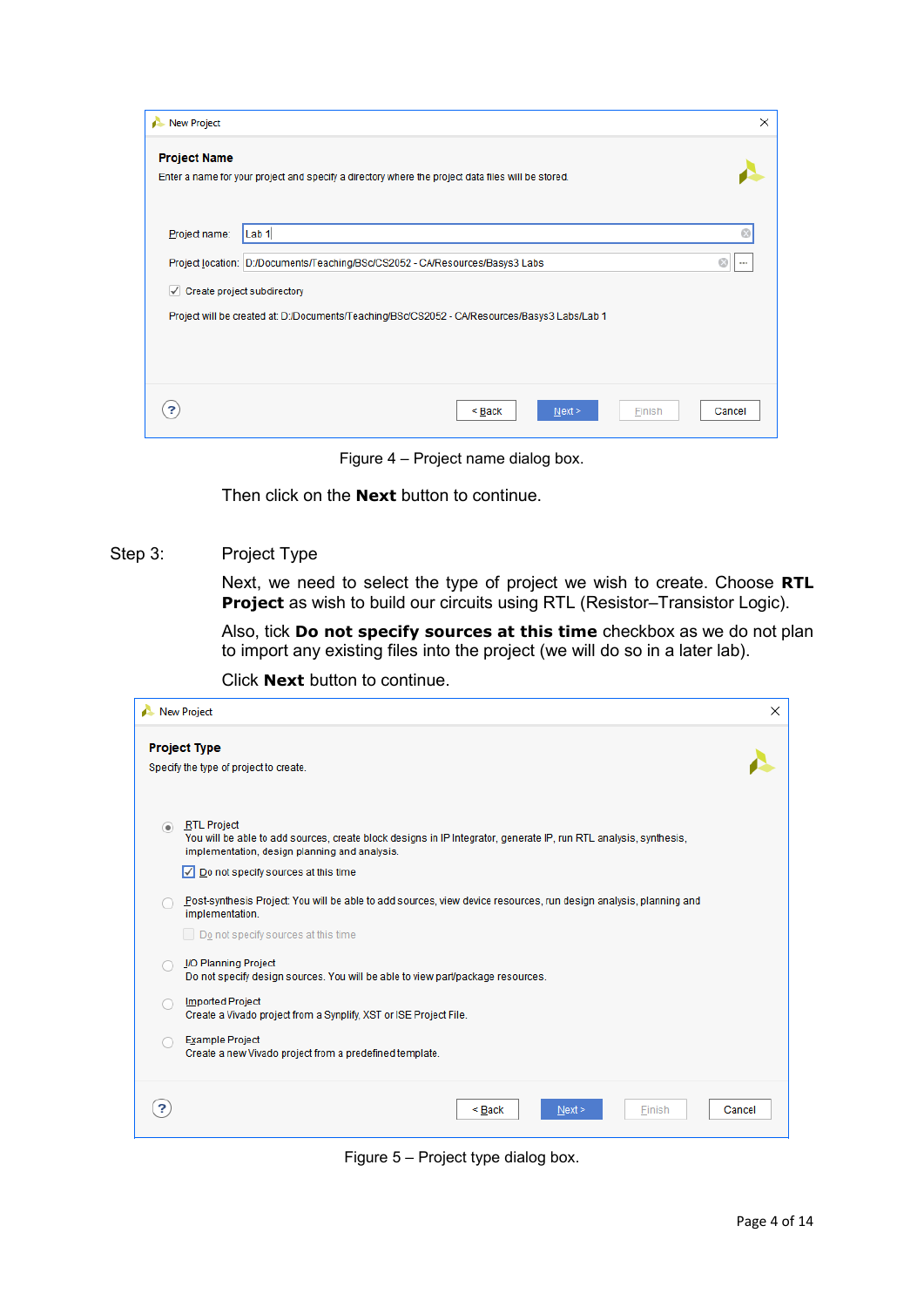| New Project                 |                                                                                                    | X      |
|-----------------------------|----------------------------------------------------------------------------------------------------|--------|
| <b>Project Name</b>         | Enter a name for your project and specify a directory where the project data files will be stored. |        |
| Project name:               | Lab <sub>1</sub>                                                                                   | Ø      |
|                             | Project location: D:/Documents/Teaching/BSc/CS2052 - CA/Resources/Basys3 Labs                      |        |
| Create project subdirectory |                                                                                                    |        |
|                             | Project will be created at: D:/Documents/Teaching/BSc/CS2052 - CA/Resources/Basys3 Labs/Lab 1      |        |
|                             |                                                                                                    |        |
|                             | Next ><br>Finish<br>$Back$                                                                         | Cancel |

Figure 4 – Project name dialog box.

Then click on the **Next** button to continue.

#### Step 3: Project Type

Next, we need to select the type of project we wish to create. Choose **RTL Project** as wish to build our circuits using RTL (Resistor–Transistor Logic).

Also, tick **Do not specify sources at this time** checkbox as we do not plan to import any existing files into the project (we will do so in a later lab).

Click **Next** button to continue.

| New Project                                                                                                                                                                                                                                                 | $\times$ |
|-------------------------------------------------------------------------------------------------------------------------------------------------------------------------------------------------------------------------------------------------------------|----------|
| <b>Project Type</b><br>Specify the type of project to create.                                                                                                                                                                                               |          |
| <b>RTL Project</b><br>$\circledcirc$<br>You will be able to add sources, create block designs in IP Integrator, generate IP, run RTL analysis, synthesis,<br>implementation, design planning and analysis.<br>$\sqrt{}$ Do not specify sources at this time |          |
| Post-synthesis Project: You will be able to add sources, view device resources, run design analysis, planning and<br>implementation.<br>Do not specify sources at this time                                                                                 |          |
| I/O Planning Project<br>Do not specify design sources. You will be able to view part/package resources.                                                                                                                                                     |          |
| <b>Imported Project</b><br>Create a Vivado project from a Synplify, XST or ISE Project File.                                                                                                                                                                |          |
| Example Project<br>Create a new Vivado project from a predefined template.                                                                                                                                                                                  |          |
| <back<br>Next<br/>Finish</back<br>                                                                                                                                                                                                                          | Cancel   |

Figure 5 – Project type dialog box.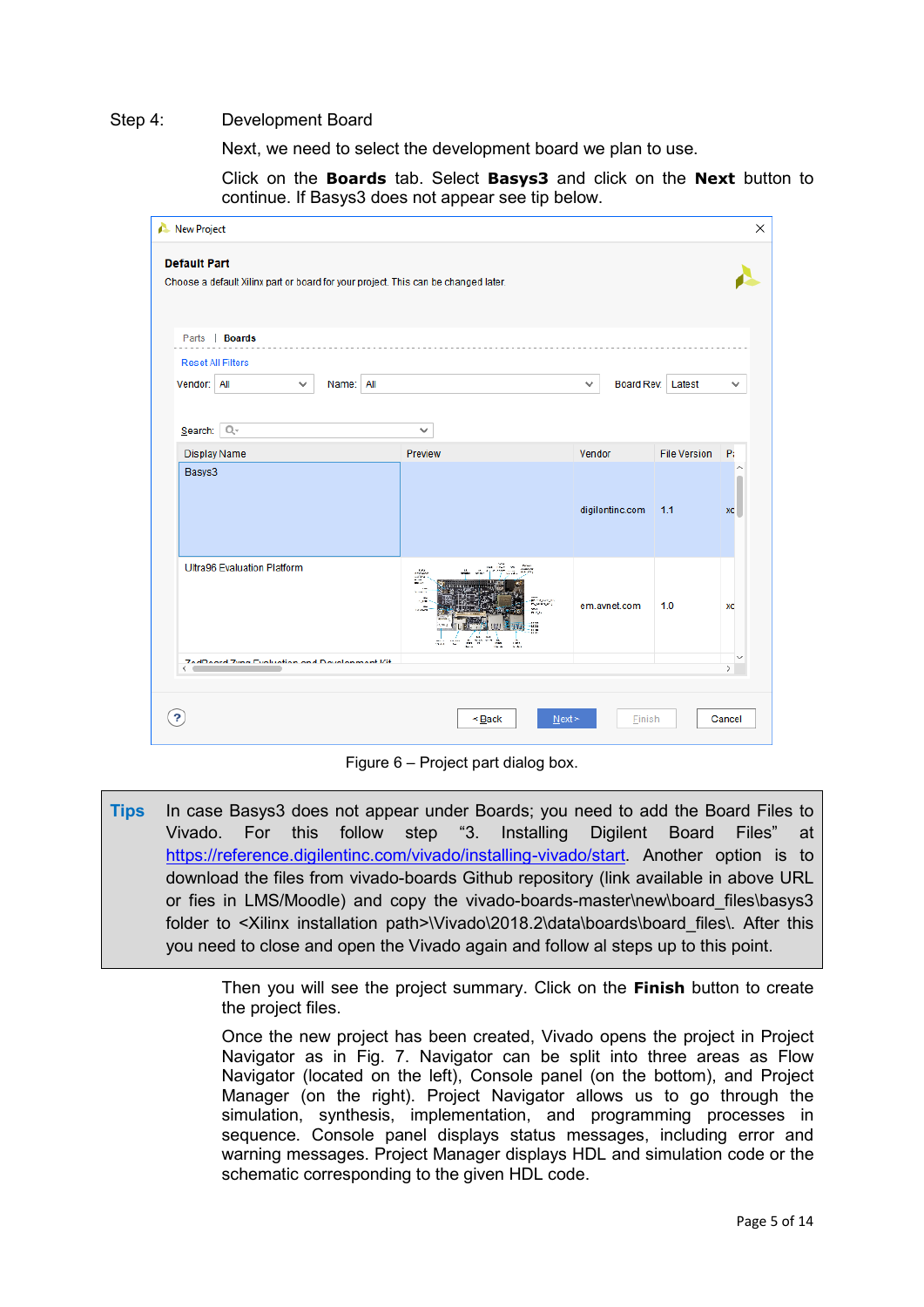#### Step 4: Development Board

Next, we need to select the development board we plan to use.

Click on the **Boards** tab. Select **Basys3** and click on the **Next** button to continue. If Basys3 does not appear see tip below.

| <b>Default Part</b>                                                                |                                                                                                                                                                                                                                                                                                                                                       |                 |                     |               |
|------------------------------------------------------------------------------------|-------------------------------------------------------------------------------------------------------------------------------------------------------------------------------------------------------------------------------------------------------------------------------------------------------------------------------------------------------|-----------------|---------------------|---------------|
| Choose a default Xilinx part or board for your project. This can be changed later. |                                                                                                                                                                                                                                                                                                                                                       |                 |                     |               |
|                                                                                    |                                                                                                                                                                                                                                                                                                                                                       |                 |                     |               |
| Parts   <b>Boards</b>                                                              |                                                                                                                                                                                                                                                                                                                                                       |                 |                     |               |
| <b>Reset All Filters</b>                                                           |                                                                                                                                                                                                                                                                                                                                                       |                 |                     |               |
| Vendor: All<br>Name: All<br>v                                                      |                                                                                                                                                                                                                                                                                                                                                       | v               | Board Rev: Latest   | v             |
|                                                                                    |                                                                                                                                                                                                                                                                                                                                                       |                 |                     |               |
| Search: Q-                                                                         | v                                                                                                                                                                                                                                                                                                                                                     |                 |                     |               |
| Display Name                                                                       | Preview                                                                                                                                                                                                                                                                                                                                               | Vendor          | <b>File Version</b> | P:            |
| Basys3                                                                             |                                                                                                                                                                                                                                                                                                                                                       |                 |                     |               |
|                                                                                    |                                                                                                                                                                                                                                                                                                                                                       |                 |                     |               |
|                                                                                    |                                                                                                                                                                                                                                                                                                                                                       | digilentinc.com | 1.1                 | XC            |
|                                                                                    |                                                                                                                                                                                                                                                                                                                                                       |                 |                     |               |
| <b>Ultra96 Evaluation Platform</b>                                                 | ana an<br>$\begin{bmatrix} 1 & 0 \\ 0 & 0 \\ 0 & 0 \\ 0 & 0 \\ 0 & 0 \\ 0 & 0 \\ 0 & 0 \\ 0 & 0 \\ 0 & 0 \\ 0 & 0 \\ 0 & 0 \\ 0 & 0 \\ 0 & 0 \\ 0 & 0 \\ 0 & 0 \\ 0 & 0 \\ 0 & 0 \\ 0 & 0 \\ 0 & 0 \\ 0 & 0 \\ 0 & 0 \\ 0 & 0 \\ 0 & 0 & 0 \\ 0 & 0 & 0 \\ 0 & 0 & 0 \\ 0 & 0 & 0 & 0 \\ 0 & 0 & 0 & 0 \\ 0 & 0 & 0 & 0 \\ 0 & 0 & 0 & 0 & 0 \\ 0 & $ |                 |                     |               |
|                                                                                    | -A                                                                                                                                                                                                                                                                                                                                                    |                 |                     |               |
|                                                                                    | <b>Report</b><br>تقدد<br>m.                                                                                                                                                                                                                                                                                                                           | em.avnet.com    | 1.0                 | XC            |
|                                                                                    | ÷<br>A<br>â.<br>A.<br>m.<br>A                                                                                                                                                                                                                                                                                                                         |                 |                     |               |
| <b>ZedDenrd Zing Funkintion and Douglasment Vit</b><br>ĸ.                          |                                                                                                                                                                                                                                                                                                                                                       |                 |                     | $\rightarrow$ |
|                                                                                    |                                                                                                                                                                                                                                                                                                                                                       |                 |                     |               |
|                                                                                    |                                                                                                                                                                                                                                                                                                                                                       |                 |                     |               |

Figure 6 – Project part dialog box.

**Tips** In case Basys3 does not appear under Boards; you need to add the Board Files to Vivado. For this follow step "3. Installing Digilent Board Files" at [https://reference.digilentinc.com/vivado/installing-vivado/start.](https://reference.digilentinc.com/vivado/installing-vivado/start) Another option is to download the files from vivado-boards Github repository (link available in above URL or fies in LMS/Moodle) and copy the vivado-boards-master\new\board files\basys3 folder to <Xilinx installation path>\Vivado\2018.2\data\boards\board\_files\. After this you need to close and open the Vivado again and follow al steps up to this point.

> Then you will see the project summary. Click on the **Finish** button to create the project files.

> Once the new project has been created, Vivado opens the project in Project Navigator as in Fig. 7. Navigator can be split into three areas as Flow Navigator (located on the left), Console panel (on the bottom), and Project Manager (on the right). Project Navigator allows us to go through the simulation, synthesis, implementation, and programming processes in sequence. Console panel displays status messages, including error and warning messages. Project Manager displays HDL and simulation code or the schematic corresponding to the given HDL code.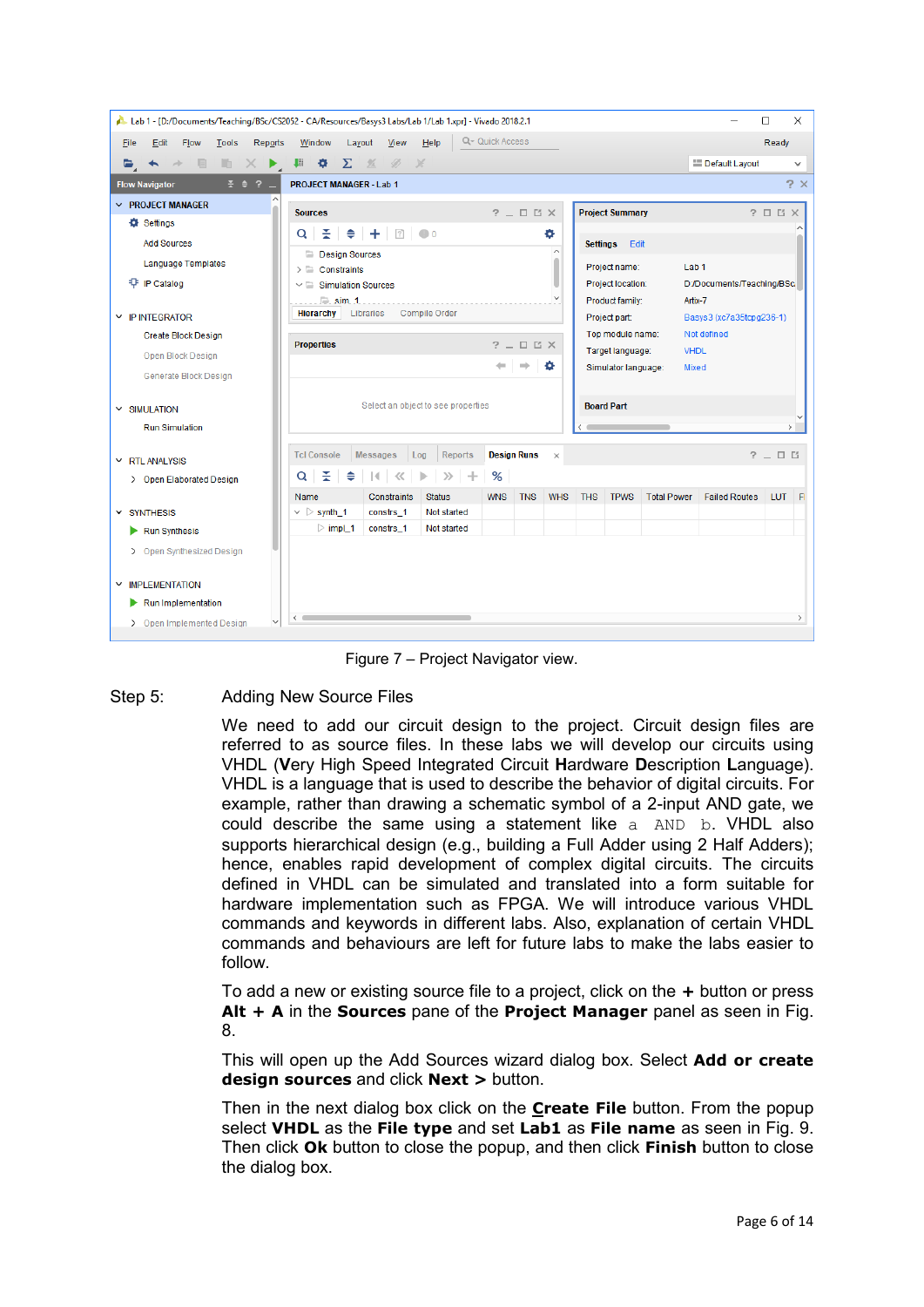| Lab 1 - [D:/Documents/Teaching/BSc/CS2052 - CA/Resources/Basys3 Labs/Lab 1/Lab 1.xpr] - Vivado 2018.2.1 |                                                                     |                                            |                                |                                   |                            |                                         | □<br>X                   |
|---------------------------------------------------------------------------------------------------------|---------------------------------------------------------------------|--------------------------------------------|--------------------------------|-----------------------------------|----------------------------|-----------------------------------------|--------------------------|
| Edit<br>Flow<br><b>Tools</b><br>Reports<br>File                                                         | Window<br>Layout<br>View                                            | Q- Quick Access<br>Help                    |                                |                                   |                            |                                         | Ready                    |
| 目<br>m.<br>$\times$<br>$\blacksquare$                                                                   | ▶ 聯 章<br>$\Sigma$ %<br>$\emptyset$ %                                |                                            |                                |                                   |                            | Default Layout                          | v                        |
| $\bar{x}$ $\theta$ $2 -$<br><b>Flow Navigator</b>                                                       | <b>PROJECT MANAGER - Lab 1</b>                                      |                                            |                                |                                   |                            |                                         | $2 \times$               |
| $\vee$ PROJECT MANAGER                                                                                  | <b>Sources</b>                                                      |                                            | $?$ $\Box$ $\Box$ $\times$     | <b>Project Summary</b>            |                            |                                         | $? \Box$ $\Box$ $\times$ |
| Settings                                                                                                | ÷.<br>H≑ H +   12   ● 0<br>Q                                        |                                            | ۰                              |                                   |                            |                                         |                          |
| <b>Add Sources</b>                                                                                      | <b>Design Sources</b>                                               |                                            | $\widehat{\phantom{a}}$        | Settings Edit                     |                            |                                         |                          |
| <b>Language Templates</b>                                                                               | $\triangleright$ $\blacksquare$ Constraints                         |                                            |                                | Project name:                     | Lab <sub>1</sub>           |                                         |                          |
| <b>中 IP Catalog</b>                                                                                     | $\vee$ $\Box$ Simulation Sources                                    |                                            |                                | Project location:                 |                            | D:/Documents/Teaching/BSc               |                          |
|                                                                                                         | $\equiv$ sim 1<br>Libraries<br><b>Hierarchy</b>                     | Compile Order                              |                                |                                   | Product family:<br>Artix-7 |                                         |                          |
| $\times$ IP INTEGRATOR                                                                                  |                                                                     |                                            |                                | Project part:<br>Top module name: |                            | Basys3 (xc7a35tcpg236-1)<br>Not defined |                          |
| Create Block Design                                                                                     | $?$ $\Box$ $\Box$ $\times$<br><b>Properties</b>                     |                                            |                                | <b>VHDL</b><br>Target language:   |                            |                                         |                          |
| Open Block Design                                                                                       |                                                                     |                                            | ۰                              | Simulator language:               | <b>Mixed</b>               |                                         |                          |
| Generate Block Design                                                                                   |                                                                     |                                            |                                |                                   |                            |                                         |                          |
| $~\times$ SIMULATION                                                                                    |                                                                     | Select an object to see properties         |                                | <b>Board Part</b>                 |                            |                                         |                          |
| <b>Run Simulation</b>                                                                                   |                                                                     |                                            |                                |                                   |                            |                                         | $\rightarrow$            |
|                                                                                                         | <b>Tcl Console</b><br><b>Messages</b><br>Log                        | <b>Reports</b>                             | <b>Design Runs</b><br>$\times$ |                                   |                            |                                         | $?$ $ \Box$ $\Box$       |
| $\times$ RTL ANALYSIS                                                                                   | ÷.<br>♦<br>$\mathbb{R}$<br>$\ll$<br>ь                               | $\gg$                                      |                                |                                   |                            |                                         |                          |
| > Open Elaborated Design                                                                                | $\alpha$                                                            | %<br>$-+$                                  |                                |                                   |                            |                                         |                          |
| $~\times$ SYNTHESIS                                                                                     | Name<br>Constraints<br>$\vee$ $\triangleright$ synth_1<br>constrs_1 | <b>Status</b><br><b>WNS</b><br>Not started | <b>TNS</b><br><b>WHS</b>       | <b>THS</b><br><b>TPWS</b>         | <b>Total Power</b>         | <b>Failed Routes</b>                    | <b>LUT</b><br>- Fl       |
| Run Synthesis                                                                                           | $\triangleright$ impl_1<br>constrs_1                                | Not started                                |                                |                                   |                            |                                         |                          |
| > Open Synthesized Design                                                                               |                                                                     |                                            |                                |                                   |                            |                                         |                          |
|                                                                                                         |                                                                     |                                            |                                |                                   |                            |                                         |                          |
| $\times$ IMPLEMENTATION                                                                                 |                                                                     |                                            |                                |                                   |                            |                                         |                          |
| Run Implementation                                                                                      |                                                                     |                                            |                                |                                   |                            |                                         |                          |
| > Open Implemented Design                                                                               |                                                                     |                                            |                                |                                   |                            |                                         | $\rightarrow$            |

Figure 7 – Project Navigator view.

### Step 5: Adding New Source Files

We need to add our circuit design to the project. Circuit design files are referred to as source files. In these labs we will develop our circuits using VHDL (**V**ery High Speed Integrated Circuit **H**ardware **D**escription **L**anguage). VHDL is a language that is used to describe the behavior of digital circuits. For example, rather than drawing a schematic symbol of a 2-input AND gate, we could describe the same using a statement like  $a$  AND b. VHDL also supports hierarchical design (e.g., building a Full Adder using 2 Half Adders); hence, enables rapid development of complex digital circuits. The circuits defined in VHDL can be simulated and translated into a form suitable for hardware implementation such as FPGA. We will introduce various VHDL commands and keywords in different labs. Also, explanation of certain VHDL commands and behaviours are left for future labs to make the labs easier to follow.

To add a new or existing source file to a project, click on the **+** button or press **Alt + A** in the **Sources** pane of the **Project Manager** panel as seen in Fig. 8.

This will open up the Add Sources wizard dialog box. Select **Add or create design sources** and click **Next >** button.

Then in the next dialog box click on the **Create File** button. From the popup select **VHDL** as the **File type** and set **Lab1** as **File name** as seen in Fig. 9. Then click **Ok** button to close the popup, and then click **Finish** button to close the dialog box.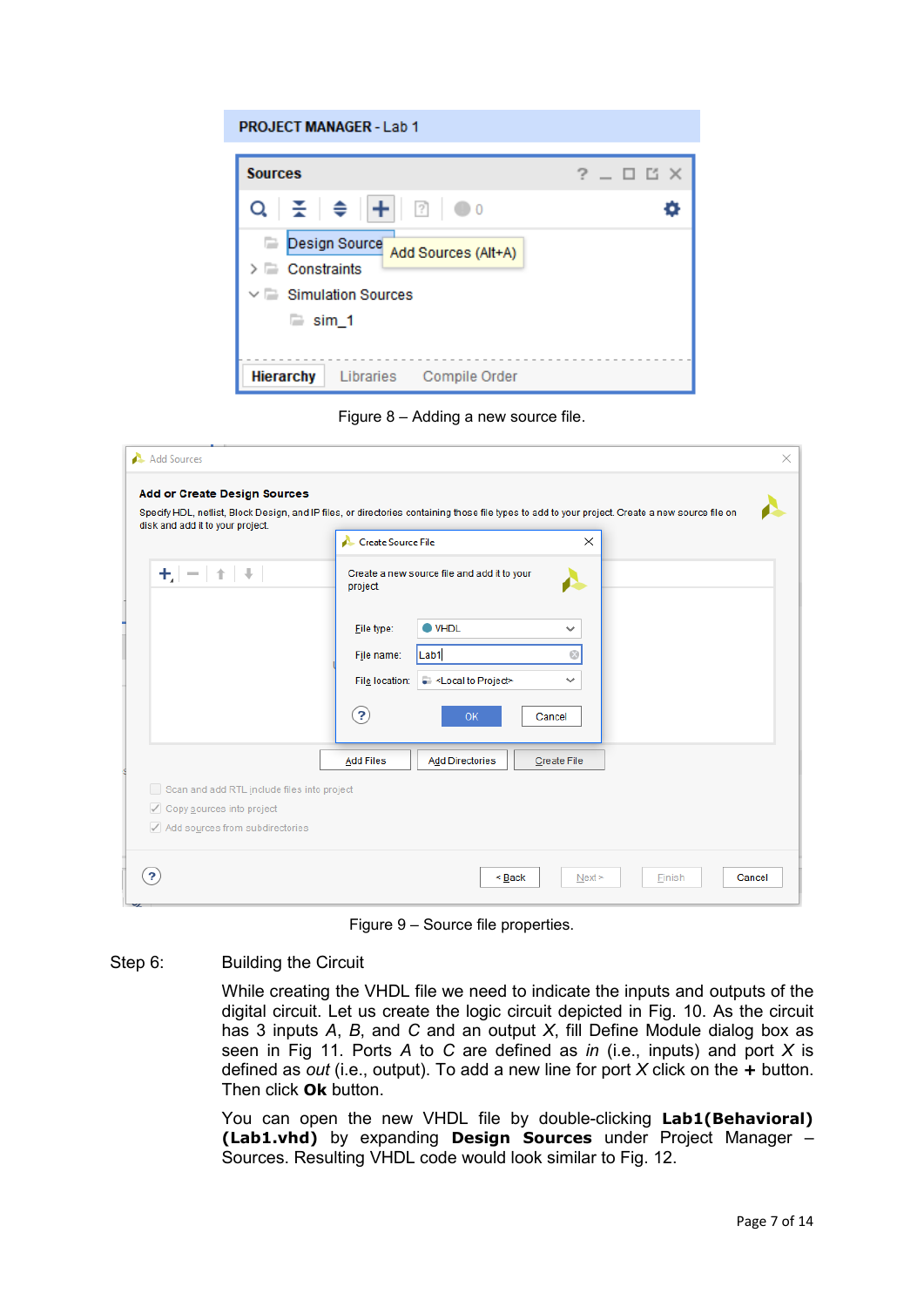#### **PROJECT MANAGER - Lab 1**



Figure 8 – Adding a new source file.

| disk and add it to your project.            | Create Source File<br>$\times$                                                    |
|---------------------------------------------|-----------------------------------------------------------------------------------|
| $+/-$<br>个                                  | Create a new source file and add it to your<br>project.                           |
|                                             | $\bullet$ VHDL<br>Eile type:<br>$\checkmark$                                      |
|                                             | Lab1<br>Ø<br>File name:                                                           |
|                                             | - <local project="" to=""><br/>File location:<br/><math>\checkmark</math></local> |
|                                             | $\left( 3\right)$<br><b>OK</b><br>Cancel                                          |
|                                             | <b>Add Files</b><br><b>Add Directories</b><br><b>Create File</b>                  |
| Scan and add RTL include files into project |                                                                                   |
| √ Copy sources into project                 |                                                                                   |

Figure 9 – Source file properties.

#### Step 6: Building the Circuit

While creating the VHDL file we need to indicate the inputs and outputs of the digital circuit. Let us create the logic circuit depicted in Fig. 10. As the circuit has 3 inputs *A*, *B*, and *C* and an output *X*, fill Define Module dialog box as seen in Fig 11. Ports *A* to *C* are defined as *in* (i.e., inputs) and port *X* is defined as *out* (i.e., output). To add a new line for port *X* click on the **+** button. Then click **Ok** button.

You can open the new VHDL file by double-clicking **Lab1(Behavioral) (Lab1.vhd)** by expanding **Design Sources** under Project Manager – Sources. Resulting VHDL code would look similar to Fig. 12.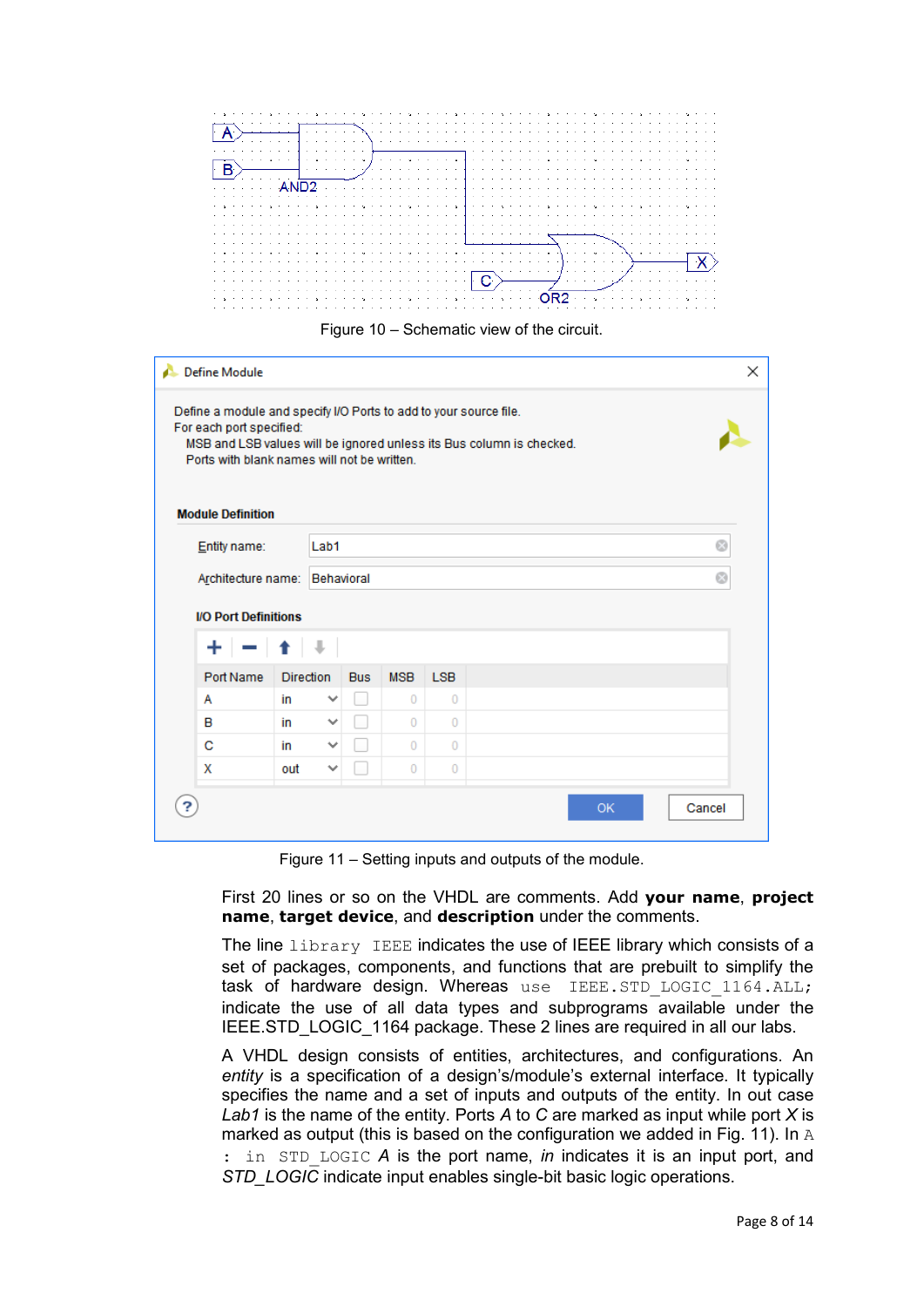



| Define Module<br>×<br>Define a module and specify I/O Ports to add to your source file.<br>For each port specified:<br>MSB and LSB values will be ignored unless its Bus column is checked.<br>Ports with blank names will not be written.<br><b>Module Definition</b> |                                                               |                  |              |                |            |           |        |  |
|------------------------------------------------------------------------------------------------------------------------------------------------------------------------------------------------------------------------------------------------------------------------|---------------------------------------------------------------|------------------|--------------|----------------|------------|-----------|--------|--|
|                                                                                                                                                                                                                                                                        |                                                               |                  |              |                |            |           |        |  |
|                                                                                                                                                                                                                                                                        | Entity name:                                                  | Lab1             |              | Ø              |            |           |        |  |
|                                                                                                                                                                                                                                                                        | Architecture name:                                            |                  | Behavioral   | Ø              |            |           |        |  |
|                                                                                                                                                                                                                                                                        | <b>I/O Port Definitions</b><br>$-1 + 1$<br>$+$ $\overline{ }$ |                  |              |                |            |           |        |  |
|                                                                                                                                                                                                                                                                        | Port Name                                                     | <b>Direction</b> | <b>Bus</b>   | <b>MSB</b>     | <b>LSB</b> |           |        |  |
|                                                                                                                                                                                                                                                                        | A                                                             | in               | v            | $\Omega$       | $\Omega$   |           |        |  |
|                                                                                                                                                                                                                                                                        | в                                                             | in               | $\checkmark$ | $\Omega$       | $\Omega$   |           |        |  |
|                                                                                                                                                                                                                                                                        | C                                                             | in               | $\checkmark$ | $\Omega$       | $\Omega$   |           |        |  |
|                                                                                                                                                                                                                                                                        | X                                                             | out              | $\checkmark$ | $\overline{0}$ | $\Omega$   |           |        |  |
|                                                                                                                                                                                                                                                                        |                                                               |                  |              |                |            | <b>OK</b> | Cancel |  |

Figure 11 – Setting inputs and outputs of the module.

First 20 lines or so on the VHDL are comments. Add **your name**, **project name**, **target device**, and **description** under the comments.

The line library IEEE indicates the use of IEEE library which consists of a set of packages, components, and functions that are prebuilt to simplify the task of hardware design. Whereas use IEEE.STD LOGIC 1164.ALL; indicate the use of all data types and subprograms available under the IEEE.STD\_LOGIC\_1164 package. These 2 lines are required in all our labs.

A VHDL design consists of entities, architectures, and configurations. An *entity* is a specification of a design's/module's external interface. It typically specifies the name and a set of inputs and outputs of the entity. In out case *Lab1* is the name of the entity. Ports *A* to *C* are marked as input while port *X* is marked as output (this is based on the configuration we added in Fig. 11). In A : in STD LOGIC *A* is the port name, *in* indicates it is an input port, and *STD\_LOGIC* indicate input enables single-bit basic logic operations.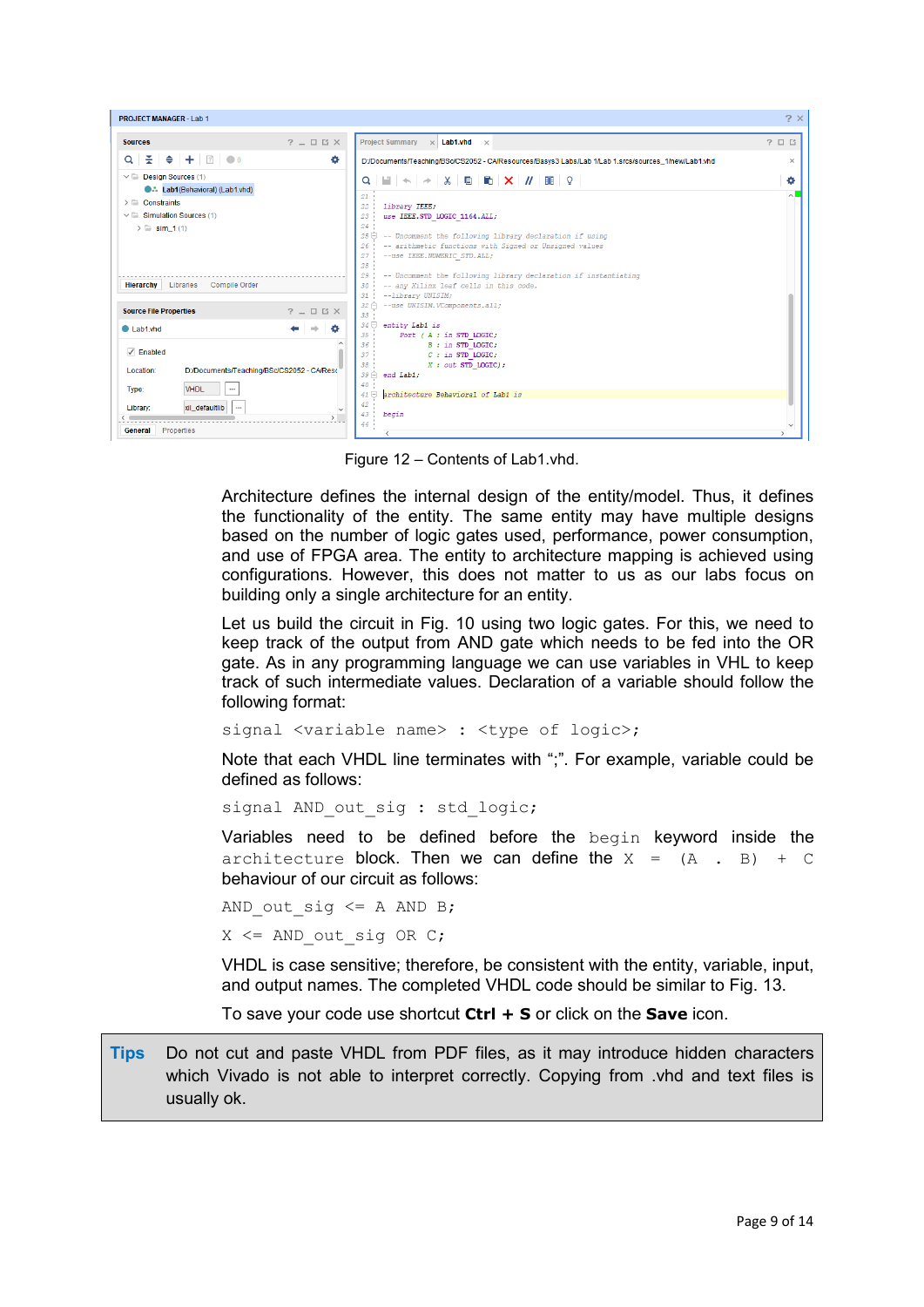| PROJECT MANAGER - Lab 1                                                                                                                                            |                                                                                                                                                                                                                                                                                                                                                      | $2 \times$        |
|--------------------------------------------------------------------------------------------------------------------------------------------------------------------|------------------------------------------------------------------------------------------------------------------------------------------------------------------------------------------------------------------------------------------------------------------------------------------------------------------------------------------------------|-------------------|
| $?$ $ \Box$ $\Box$ $\times$<br><b>Sources</b>                                                                                                                      | <b>Project Summary</b><br>$\times$ Lab1.vhd $\times$                                                                                                                                                                                                                                                                                                 | $?$ $\Box$ $\Box$ |
| Q │ ≍ │ ≑ │ 十 │ ⊠ │ ● ○<br>۰                                                                                                                                       | D:/Documents/Teaching/BSc/CS2052 - CA/Resources/Basys3 Labs/Lab 1/Lab 1.srcs/sources 1/new/Lab1.vhd                                                                                                                                                                                                                                                  | $\times$          |
| $\vee$ $\Box$ Design Sources (1)<br><b>C.L. Lab1(Behavioral) (Lab1.vhd)</b><br>$\triangleright$ $\blacksquare$ Constraints<br>$\vee$ $\Box$ Simulation Sources (1) | Q│W│←│←│⋇│B│K│X│//│BE│♀│<br>21<br>22 <sub>1</sub><br>: library IEEE;<br>use IEEE.STD LOGIC 1164 ALL,<br>$23 -$                                                                                                                                                                                                                                       | ۰<br>$\sim$       |
| $\geq$ Sim 1(1)<br><b>Hierarchy</b> Libraries Compile Order                                                                                                        | 24.1<br>-- Uncomment the following library declaration if using<br>25 O<br>-- arithmetic functions with Signed or Unsigned values<br>26<br>--use IEEE.NUMERIC STD.ALL;<br>27 <sup>2</sup><br>28 -<br>-- Uncomment the following library declaration if instantiating<br>29.1<br>30 -- any Xilinx leaf cells in this code.<br>--library UNISIM;<br>31 |                   |
| <b>Source File Properties</b><br>$?$ $ \Box$ $\Box$ $\times$                                                                                                       | $32 \bigcap$ --use UNISIM. VComponents.all;<br>$33 -$                                                                                                                                                                                                                                                                                                |                   |
| ۰<br>$\blacksquare$ I ab1 vhd<br>$\sqrt{ }$ Enabled                                                                                                                | $34 \ominus$ entity Lab1 is<br>Port (A : in STD LOGIC,<br>$35 -$<br>36<br>B : in STD LOGIC,<br>$C$ : in STD LOGIC,<br>37 <sup>2</sup>                                                                                                                                                                                                                |                   |
| Location:<br>D:/Documents/Teaching/BSc/CS2052 - CA/Reso<br><b>VHDL</b><br>Type:                                                                                    | 38.1<br>$X$ : out STD LOGIC);<br>$39 \bigtriangleup$ end Lab1;<br>$40 -$<br>architecture Behavioral of Lab1 is<br>$41 \boxminus$                                                                                                                                                                                                                     |                   |
| xil defaultlib<br>Library:<br>$\cdots$<br>General Properties                                                                                                       | $42 -$<br>43<br>begin<br>44 -<br>$\left\langle \right\rangle$                                                                                                                                                                                                                                                                                        |                   |

Figure 12 – Contents of Lab1.vhd.

Architecture defines the internal design of the entity/model. Thus, it defines the functionality of the entity. The same entity may have multiple designs based on the number of logic gates used, performance, power consumption, and use of FPGA area. The entity to architecture mapping is achieved using configurations. However, this does not matter to us as our labs focus on building only a single architecture for an entity.

Let us build the circuit in Fig. 10 using two logic gates. For this, we need to keep track of the output from AND gate which needs to be fed into the OR gate. As in any programming language we can use variables in VHL to keep track of such intermediate values. Declaration of a variable should follow the following format:

signal <variable name> : <type of logic>;

Note that each VHDL line terminates with ";". For example, variable could be defined as follows:

signal AND out sig : std logic;

Variables need to be defined before the begin keyword inside the architecture block. Then we can define the  $X = (A \cdot B) + C$ behaviour of our circuit as follows:

```
AND out sig \leq A AND B;
X \leq AND out sig OR C;
```
VHDL is case sensitive; therefore, be consistent with the entity, variable, input, and output names. The completed VHDL code should be similar to Fig. 13.

To save your code use shortcut **Ctrl + S** or click on the **Save** icon.

**Tips** Do not cut and paste VHDL from PDF files, as it may introduce hidden characters which Vivado is not able to interpret correctly. Copying from .vhd and text files is usually ok.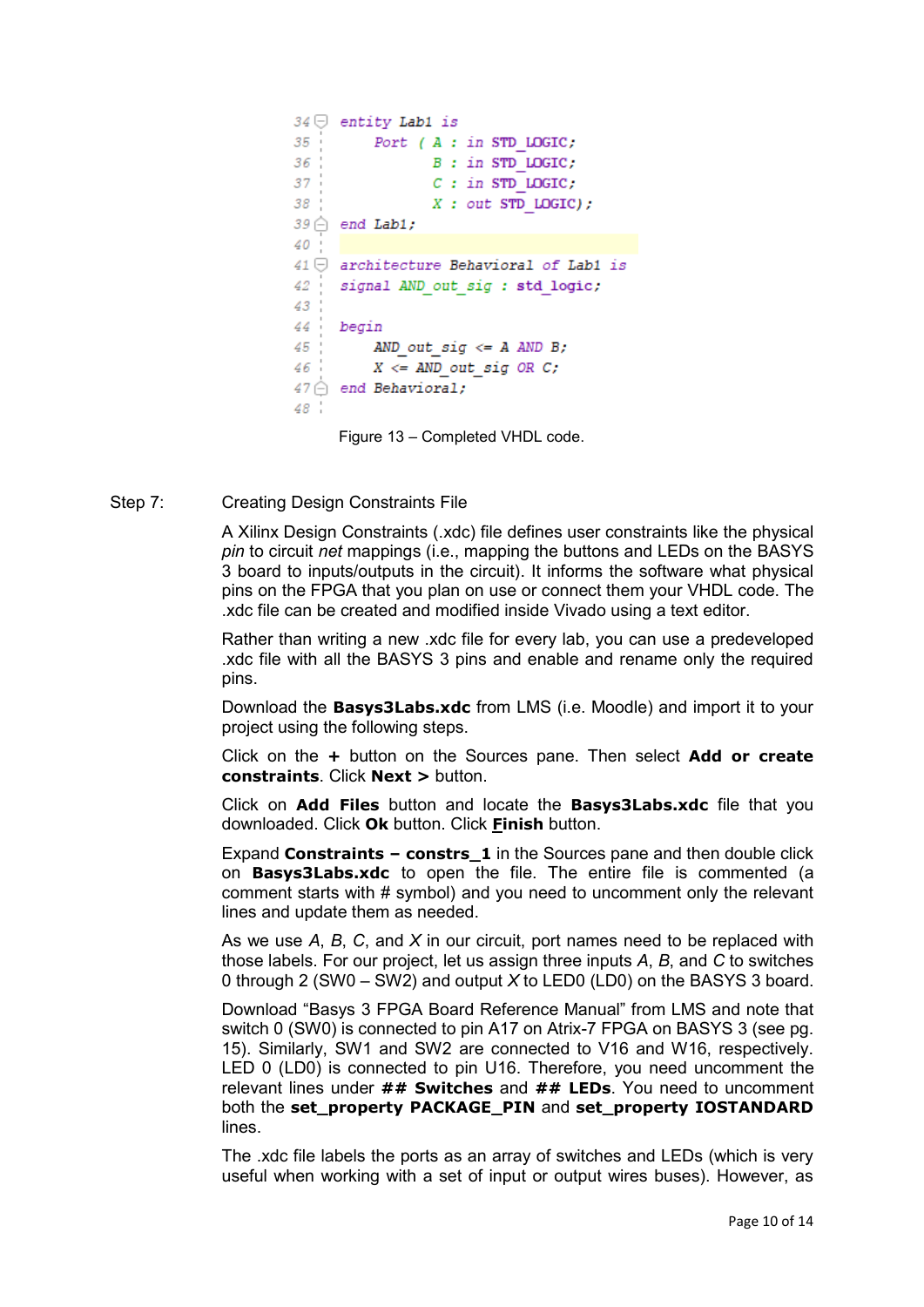```
34 \ominus entity Lab1 is
35 -Port (A : in STD LOGIC;
36B : in STD LOGIC;
37<sup>1</sup>C: in STD LOGIC;
38<sup>°</sup>X: out STD LOGIC);
39 \bigcirc end Lab1;
40
41 \ominus architecture Behavioral of Lab1 is
42
    signal AND out sig : std logic;
43
44 begin
45<sup>-1</sup>AND out sig \leq A AND B;
46:X \leq AND out sig OR C;
47 \hat{\ominus} end Behavioral;
48<sup>-1</sup>
```
Figure 13 – Completed VHDL code.

Step 7: Creating Design Constraints File

A Xilinx Design Constraints (.xdc) file defines user constraints like the physical *pin* to circuit *net* mappings (i.e., mapping the buttons and LEDs on the BASYS 3 board to inputs/outputs in the circuit). It informs the software what physical pins on the FPGA that you plan on use or connect them your VHDL code. The .xdc file can be created and modified inside Vivado using a text editor.

Rather than writing a new .xdc file for every lab, you can use a predeveloped .xdc file with all the BASYS 3 pins and enable and rename only the required pins.

Download the **Basys3Labs.xdc** from LMS (i.e. Moodle) and import it to your project using the following steps.

Click on the **+** button on the Sources pane. Then select **Add or create constraints**. Click **Next >** button.

Click on **Add Files** button and locate the **Basys3Labs.xdc** file that you downloaded. Click **Ok** button. Click **Finish** button.

Expand **Constraints – constrs\_1** in the Sources pane and then double click on **Basys3Labs.xdc** to open the file. The entire file is commented (a comment starts with # symbol) and you need to uncomment only the relevant lines and update them as needed.

As we use *A*, *B*, *C*, and *X* in our circuit, port names need to be replaced with those labels. For our project, let us assign three inputs *A*, *B*, and *C* to switches 0 through 2 (SW0 – SW2) and output *X* to LED0 (LD0) on the BASYS 3 board.

Download "Basys 3 FPGA Board Reference Manual" from LMS and note that switch 0 (SW0) is connected to pin A17 on Atrix-7 FPGA on BASYS 3 (see pg. 15). Similarly, SW1 and SW2 are connected to V16 and W16, respectively. LED 0 (LD0) is connected to pin U16. Therefore, you need uncomment the relevant lines under **## Switches** and **## LEDs**. You need to uncomment both the **set\_property PACKAGE\_PIN** and **set\_property IOSTANDARD** lines.

The .xdc file labels the ports as an array of switches and LEDs (which is very useful when working with a set of input or output wires buses). However, as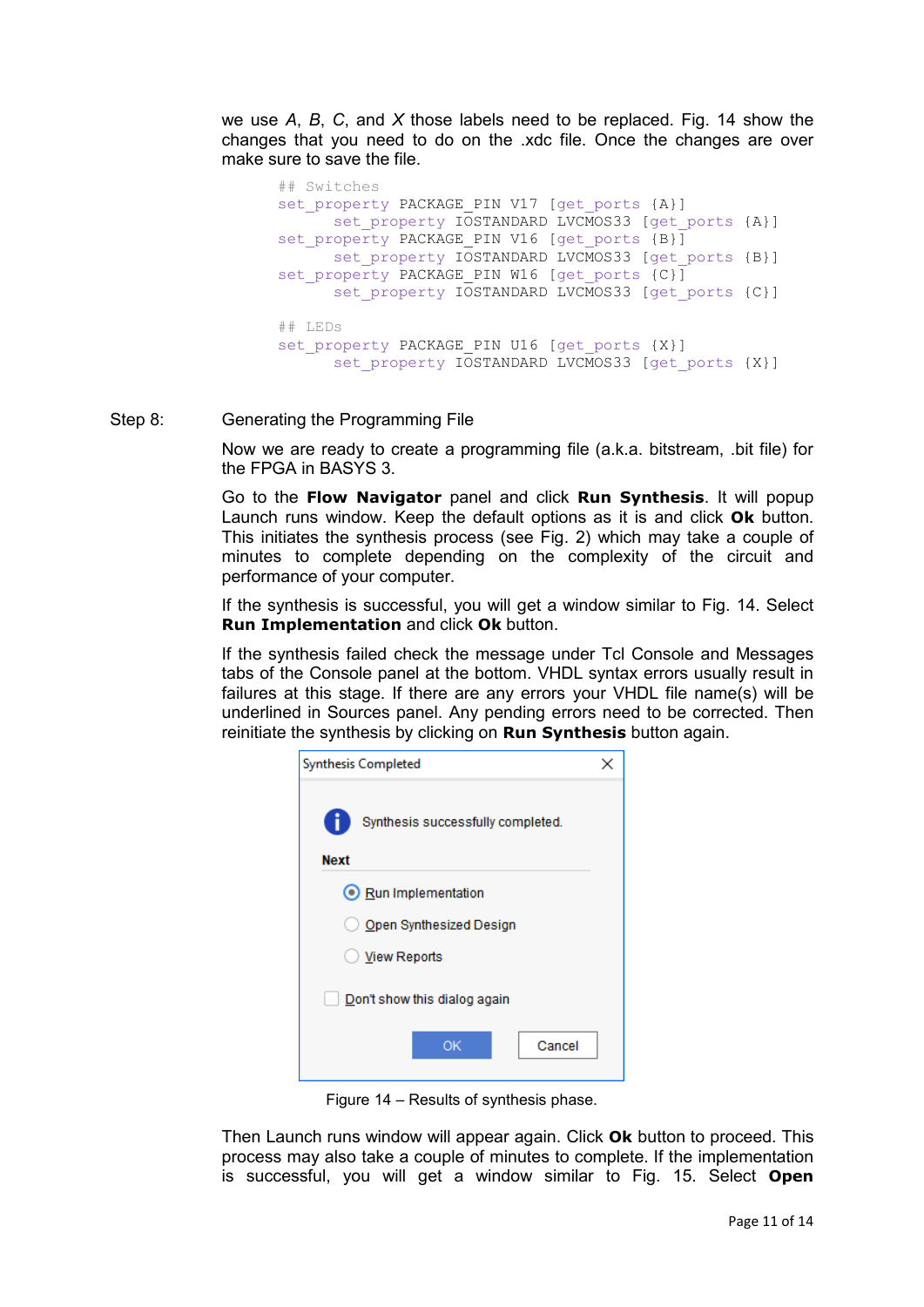we use *A*, *B*, *C*, and *X* those labels need to be replaced. Fig. 14 show the changes that you need to do on the .xdc file. Once the changes are over make sure to save the file.

```
## Switches
set property PACKAGE PIN V17 [get ports {A}]
      set property IOSTANDARD LVCMOS33 [get ports {A}]
set property PACKAGE PIN V16 [get ports {B}]
     set property IOSTANDARD LVCMOS33 [get ports {B}]
set property PACKAGE PIN W16 [get ports {C}]
      set property IOSTANDARD LVCMOS33 [get ports {C}]
## LEDs
set property PACKAGE PIN U16 [get ports {X}]
      set property IOSTANDARD LVCMOS33 [get ports {X}]
```
Step 8: Generating the Programming File

Now we are ready to create a programming file (a.k.a. bitstream, .bit file) for the FPGA in BASYS 3.

Go to the **Flow Navigator** panel and click **Run Synthesis**. It will popup Launch runs window. Keep the default options as it is and click **Ok** button. This initiates the synthesis process (see Fig. 2) which may take a couple of minutes to complete depending on the complexity of the circuit and performance of your computer.

If the synthesis is successful, you will get a window similar to Fig. 14. Select **Run Implementation** and click **Ok** button.

If the synthesis failed check the message under Tcl Console and Messages tabs of the Console panel at the bottom. VHDL syntax errors usually result in failures at this stage. If there are any errors your VHDL file name(s) will be underlined in Sources panel. Any pending errors need to be corrected. Then reinitiate the synthesis by clicking on **Run Synthesis** button again.

| <b>Synthesis Completed</b>                       |  |  |  |  |  |  |
|--------------------------------------------------|--|--|--|--|--|--|
| Synthesis successfully completed.<br><b>Next</b> |  |  |  |  |  |  |
| Run Implementation                               |  |  |  |  |  |  |
| O Open Synthesized Design                        |  |  |  |  |  |  |
| <b>View Reports</b>                              |  |  |  |  |  |  |
| Don't show this dialog again                     |  |  |  |  |  |  |
| Cancel<br>ок                                     |  |  |  |  |  |  |

Figure 14 – Results of synthesis phase.

Then Launch runs window will appear again. Click **Ok** button to proceed. This process may also take a couple of minutes to complete. If the implementation is successful, you will get a window similar to Fig. 15. Select **Open**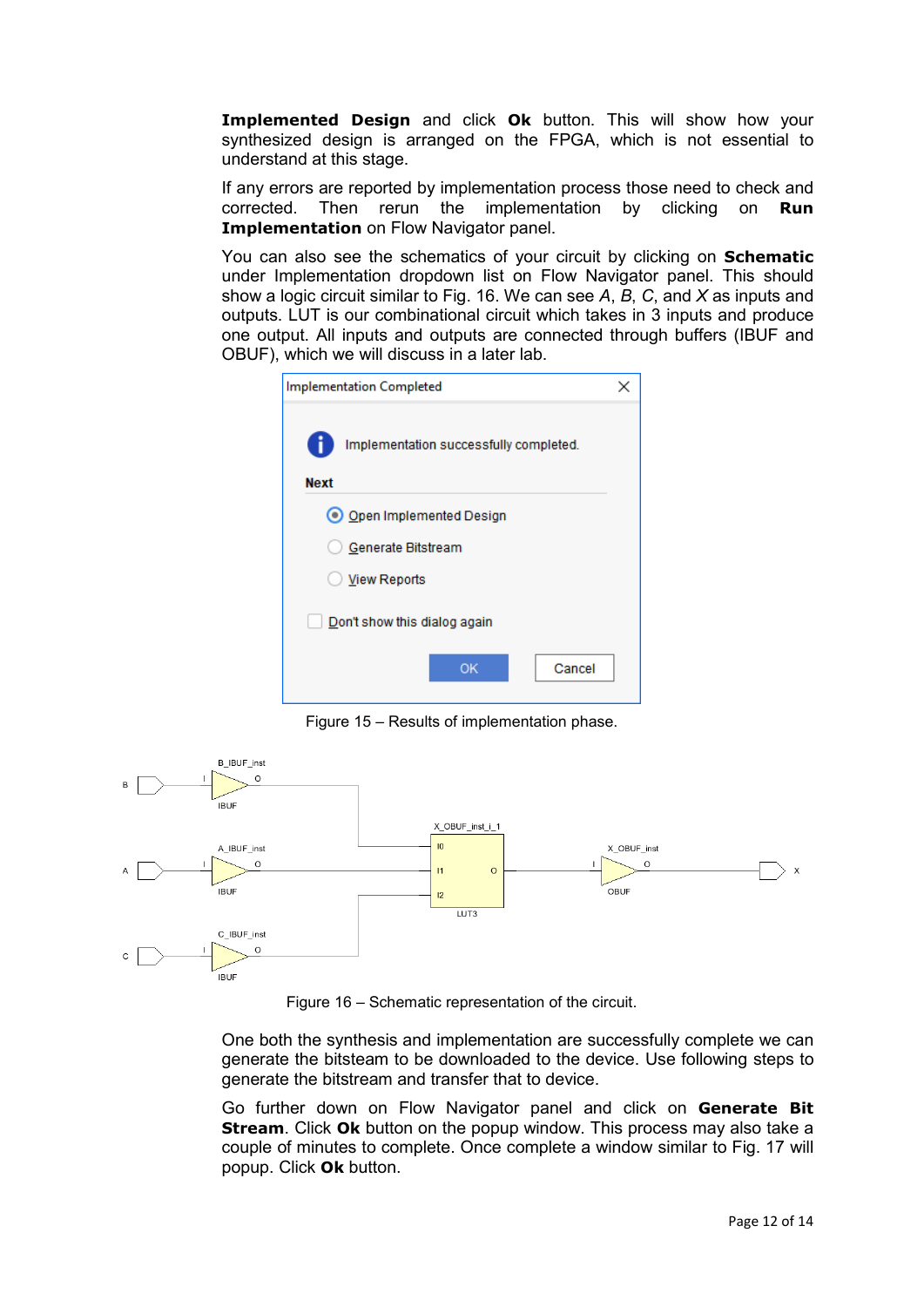**Implemented Design** and click **Ok** button. This will show how your synthesized design is arranged on the FPGA, which is not essential to understand at this stage.

If any errors are reported by implementation process those need to check and corrected. Then rerun the implementation by clicking on **Run Implementation** on Flow Navigator panel.

You can also see the schematics of your circuit by clicking on **Schematic**  under Implementation dropdown list on Flow Navigator panel. This should show a logic circuit similar to Fig. 16. We can see *A*, *B*, *C*, and *X* as inputs and outputs. LUT is our combinational circuit which takes in 3 inputs and produce one output. All inputs and outputs are connected through buffers (IBUF and OBUF), which we will discuss in a later lab.

| Implementation Completed                              |  |  |  |  |  |  |
|-------------------------------------------------------|--|--|--|--|--|--|
| Implementation successfully completed.<br><b>Next</b> |  |  |  |  |  |  |
| O Open Implemented Design                             |  |  |  |  |  |  |
| Generate Bitstream                                    |  |  |  |  |  |  |
| <b>View Reports</b>                                   |  |  |  |  |  |  |
| Don't show this dialog again                          |  |  |  |  |  |  |
| OK<br>Cancel                                          |  |  |  |  |  |  |

Figure 15 – Results of implementation phase.



Figure 16 – Schematic representation of the circuit.

One both the synthesis and implementation are successfully complete we can generate the bitsteam to be downloaded to the device. Use following steps to generate the bitstream and transfer that to device.

Go further down on Flow Navigator panel and click on **Generate Bit Stream**. Click **Ok** button on the popup window. This process may also take a couple of minutes to complete. Once complete a window similar to Fig. 17 will popup. Click **Ok** button.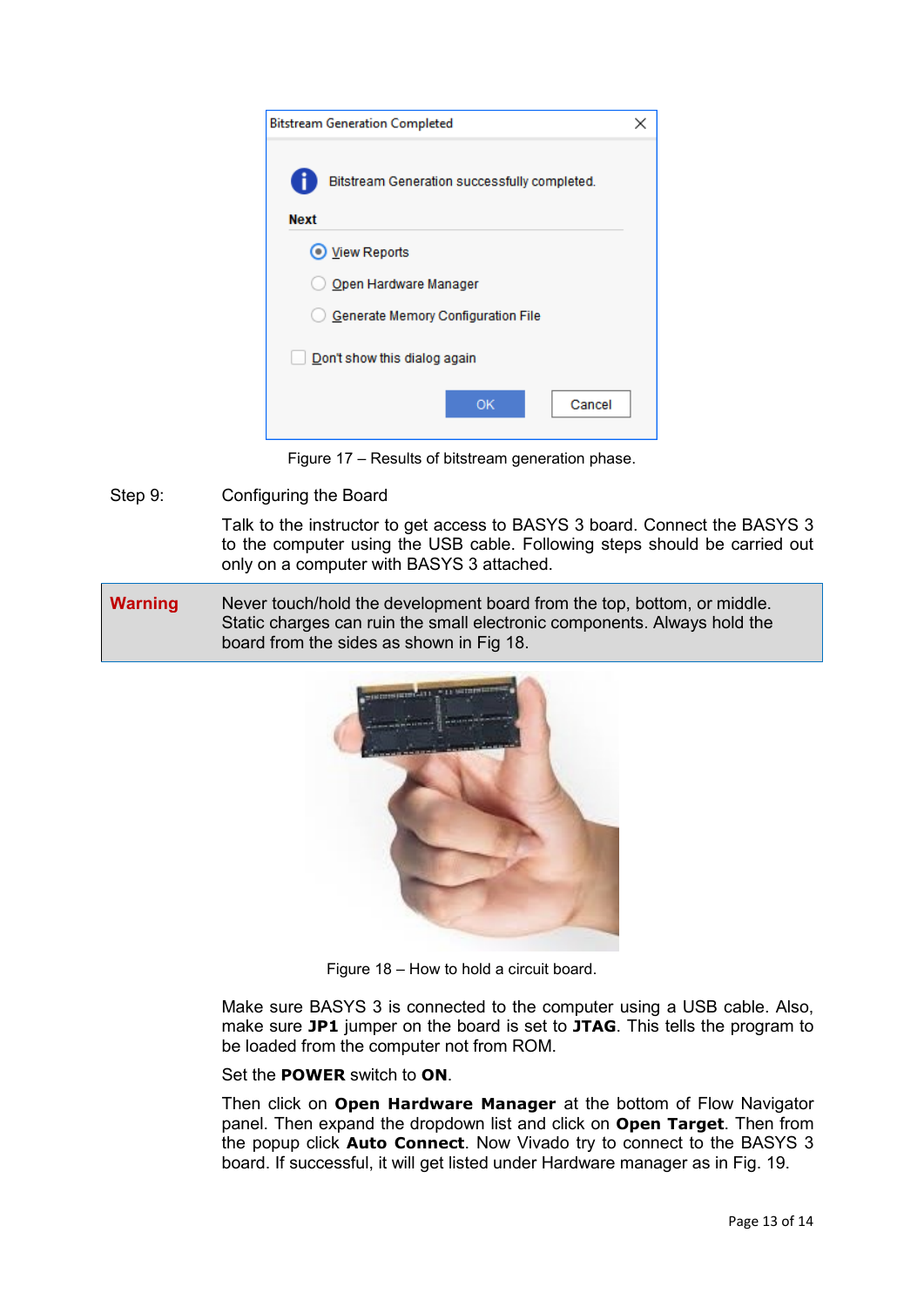

Figure 17 – Results of bitstream generation phase.

Step 9: Configuring the Board

Talk to the instructor to get access to BASYS 3 board. Connect the BASYS 3 to the computer using the USB cable. Following steps should be carried out only on a computer with BASYS 3 attached.

**Warning** Never touch/hold the development board from the top, bottom, or middle. Static charges can ruin the small electronic components. Always hold the board from the sides as shown in Fig 18.



Figure 18 – How to hold a circuit board.

Make sure BASYS 3 is connected to the computer using a USB cable. Also, make sure **JP1** jumper on the board is set to **JTAG**. This tells the program to be loaded from the computer not from ROM.

Set the **POWER** switch to **ON**.

Then click on **Open Hardware Manager** at the bottom of Flow Navigator panel. Then expand the dropdown list and click on **Open Target**. Then from the popup click **Auto Connect**. Now Vivado try to connect to the BASYS 3 board. If successful, it will get listed under Hardware manager as in Fig. 19.